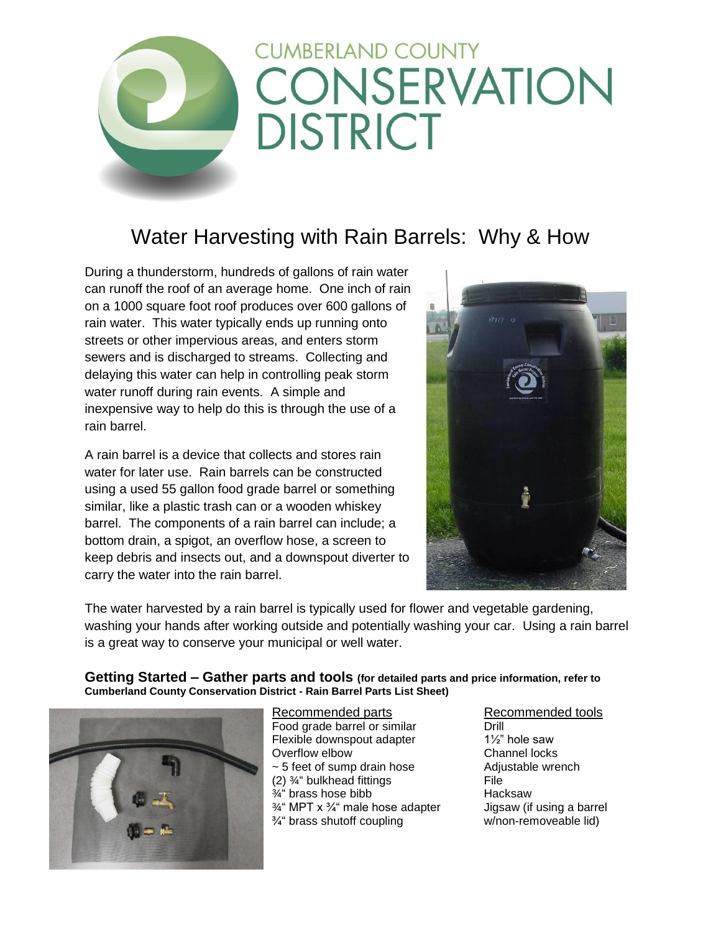# **CUMBERLAND COUNTY** CONSERVATION **DISTRICT**

# Water Harvesting with Rain Barrels: Why & How

During a thunderstorm, hundreds of gallons of rain water can runoff the roof of an average home. One inch of rain on a 1000 square foot roof produces over 600 gallons of rain water. This water typically ends up running onto streets or other impervious areas, and enters storm sewers and is discharged to streams. Collecting and delaying this water can help in controlling peak storm water runoff during rain events. A simple and inexpensive way to help do this is through the use of a rain barrel.

A rain barrel is a device that collects and stores rain water for later use. Rain barrels can be constructed using a used 55 gallon food grade barrel or something similar, like a plastic trash can or a wooden whiskey barrel. The components of a rain barrel can include; a bottom drain, a spigot, an overflow hose, a screen to keep debris and insects out, and a downspout diverter to carry the water into the rain barrel.



The water harvested by a rain barrel is typically used for flower and vegetable gardening, washing your hands after working outside and potentially washing your car. Using a rain barrel is a great way to conserve your municipal or well water.

**Getting Started – Gather parts and tools (for detailed parts and price information, refer to Cumberland County Conservation District - Rain Barrel Parts List Sheet)**



Recommended parts Recommended tools Food grade barrel or similar **Drill** Flexible downspout adapter 1½" hole saw Overflow elbow Channel locks  $\sim$  5 feet of sump drain hose  $\sim$  Adjustable wrench (2)  $\frac{3}{4}$ " bulkhead fittings File  $\frac{3}{4}$ " brass hose bibb Hacksaw  $\frac{3}{4}$ " MPT x  $\frac{3}{4}$ " male hose adapter Jigsaw (if using a barrel  $\frac{3}{4}$  brass shutoff coupling w/non-removeable lid)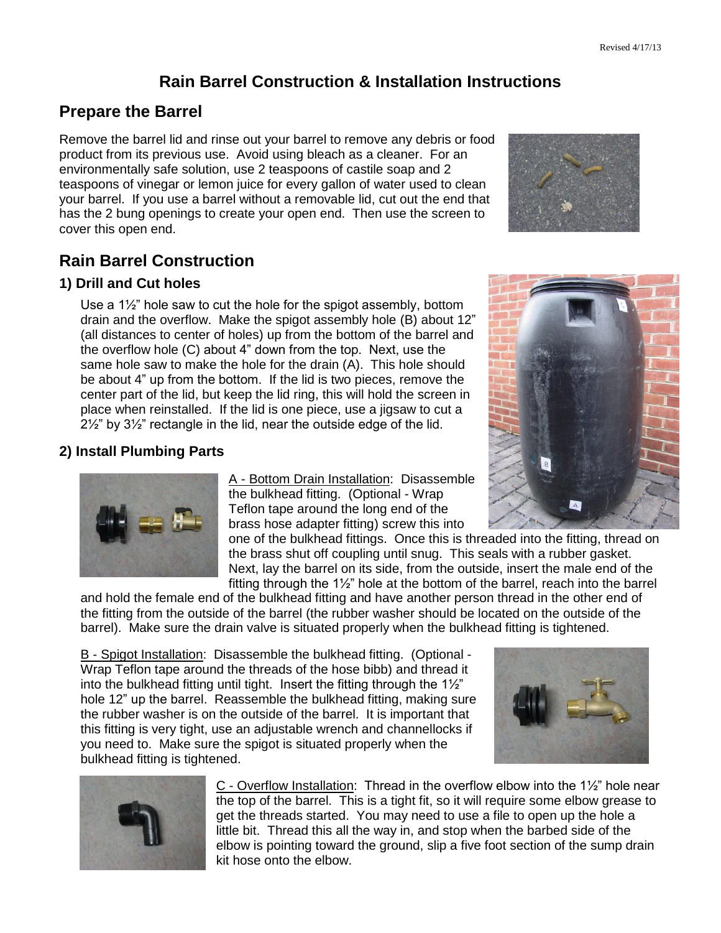#### **Rain Barrel Construction & Installation Instructions**

#### **Prepare the Barrel**

Remove the barrel lid and rinse out your barrel to remove any debris or food product from its previous use. Avoid using bleach as a cleaner. For an environmentally safe solution, use 2 teaspoons of castile soap and 2 teaspoons of vinegar or lemon juice for every gallon of water used to clean your barrel. If you use a barrel without a removable lid, cut out the end that has the 2 bung openings to create your open end. Then use the screen to cover this open end.

## **Rain Barrel Construction**

#### **1) Drill and Cut holes**

Use a 1½" hole saw to cut the hole for the spigot assembly, bottom drain and the overflow. Make the spigot assembly hole (B) about 12" (all distances to center of holes) up from the bottom of the barrel and the overflow hole (C) about 4" down from the top. Next, use the same hole saw to make the hole for the drain (A). This hole should be about 4" up from the bottom. If the lid is two pieces, remove the center part of the lid, but keep the lid ring, this will hold the screen in place when reinstalled. If the lid is one piece, use a jigsaw to cut a 2½" by 3½" rectangle in the lid, near the outside edge of the lid.

#### **2) Install Plumbing Parts**

A - Bottom Drain Installation: Disassemble the bulkhead fitting. (Optional - Wrap Teflon tape around the long end of the brass hose adapter fitting) screw this into

one of the bulkhead fittings. Once this is threaded into the fitting, thread on the brass shut off coupling until snug. This seals with a rubber gasket. Next, lay the barrel on its side, from the outside, insert the male end of the fitting through the 1½" hole at the bottom of the barrel, reach into the barrel

and hold the female end of the bulkhead fitting and have another person thread in the other end of the fitting from the outside of the barrel (the rubber washer should be located on the outside of the barrel). Make sure the drain valve is situated properly when the bulkhead fitting is tightened.

B - Spigot Installation: Disassemble the bulkhead fitting. (Optional - Wrap Teflon tape around the threads of the hose bibb) and thread it into the bulkhead fitting until tight. Insert the fitting through the 1½" hole 12" up the barrel. Reassemble the bulkhead fitting, making sure the rubber washer is on the outside of the barrel. It is important that this fitting is very tight, use an adjustable wrench and channellocks if you need to. Make sure the spigot is situated properly when the bulkhead fitting is tightened.

> C - Overflow Installation: Thread in the overflow elbow into the 1½" hole near the top of the barrel. This is a tight fit, so it will require some elbow grease to get the threads started. You may need to use a file to open up the hole a little bit. Thread this all the way in, and stop when the barbed side of the elbow is pointing toward the ground, slip a five foot section of the sump drain kit hose onto the elbow.







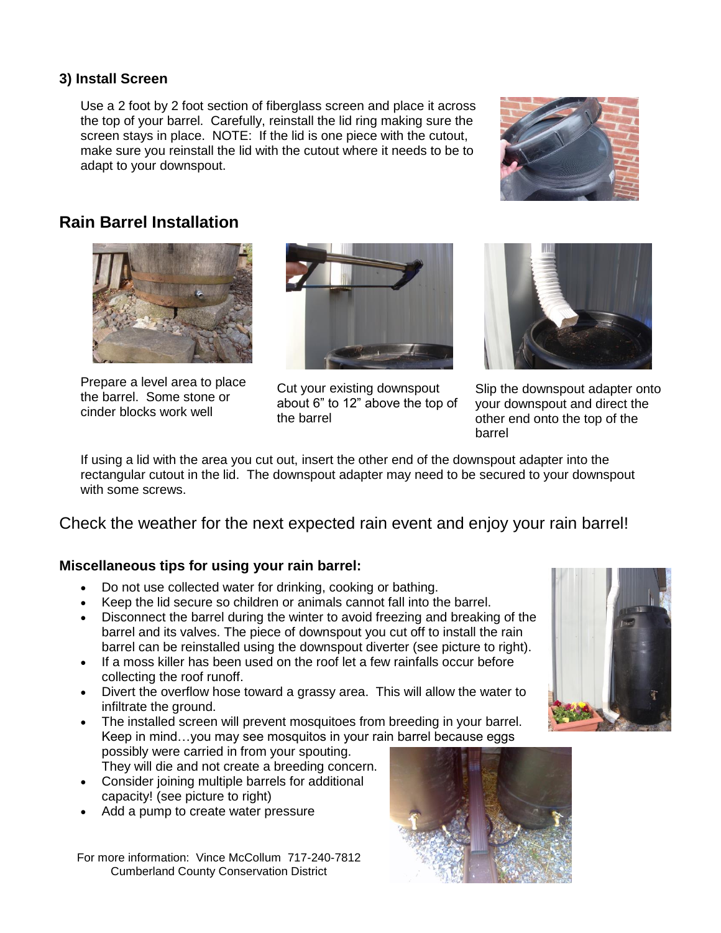#### **3) Install Screen**

Use a 2 foot by 2 foot section of fiberglass screen and place it across the top of your barrel. Carefully, reinstall the lid ring making sure the screen stays in place. NOTE: If the lid is one piece with the cutout, make sure you reinstall the lid with the cutout where it needs to be to adapt to your downspout.



### **Rain Barrel Installation**



Prepare a level area to place the barrel. Some stone or cinder blocks work well



Cut your existing downspout about 6" to 12" above the top of the barrel



Slip the downspout adapter onto your downspout and direct the other end onto the top of the barrel

If using a lid with the area you cut out, insert the other end of the downspout adapter into the rectangular cutout in the lid. The downspout adapter may need to be secured to your downspout with some screws.

Check the weather for the next expected rain event and enjoy your rain barrel!

#### **Miscellaneous tips for using your rain barrel:**

- Do not use collected water for drinking, cooking or bathing.
- Keep the lid secure so children or animals cannot fall into the barrel.
- Disconnect the barrel during the winter to avoid freezing and breaking of the barrel and its valves. The piece of downspout you cut off to install the rain barrel can be reinstalled using the downspout diverter (see picture to right).
- If a moss killer has been used on the roof let a few rainfalls occur before collecting the roof runoff.
- Divert the overflow hose toward a grassy area. This will allow the water to infiltrate the ground.
- The installed screen will prevent mosquitoes from breeding in your barrel. Keep in mind…you may see mosquitos in your rain barrel because eggs possibly were carried in from your spouting.
	- They will die and not create a breeding concern.
- Consider joining multiple barrels for additional capacity! (see picture to right)
- Add a pump to create water pressure

For more information: Vince McCollum 717-240-7812 Cumberland County Conservation District